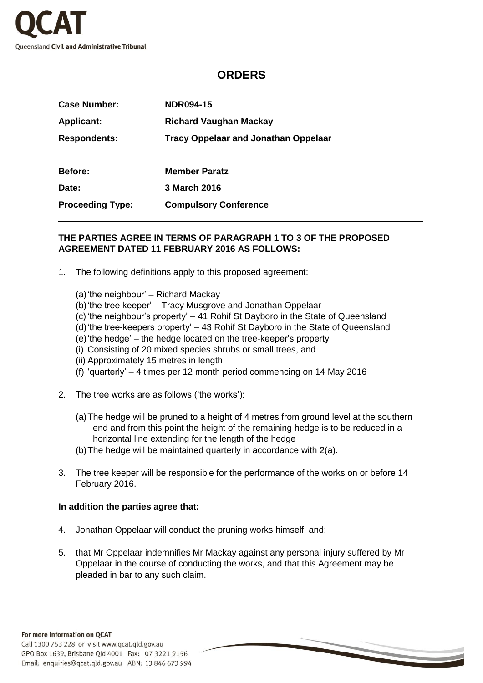

## **ORDERS**

| <b>Case Number:</b>     | <b>NDR094-15</b>                            |
|-------------------------|---------------------------------------------|
| <b>Applicant:</b>       | <b>Richard Vaughan Mackay</b>               |
| <b>Respondents:</b>     | <b>Tracy Oppelaar and Jonathan Oppelaar</b> |
| <b>Before:</b>          | <b>Member Paratz</b>                        |
| Date:                   | 3 March 2016                                |
| <b>Proceeding Type:</b> | <b>Compulsory Conference</b>                |

## **THE PARTIES AGREE IN TERMS OF PARAGRAPH 1 TO 3 OF THE PROPOSED AGREEMENT DATED 11 FEBRUARY 2016 AS FOLLOWS:**

- 1. The following definitions apply to this proposed agreement:
	- (a)'the neighbour' Richard Mackay
	- (b)'the tree keeper' Tracy Musgrove and Jonathan Oppelaar
	- (c) 'the neighbour's property' 41 Rohif St Dayboro in the State of Queensland
	- (d)'the tree-keepers property' 43 Rohif St Dayboro in the State of Queensland
	- (e)'the hedge' the hedge located on the tree-keeper's property
	- (i) Consisting of 20 mixed species shrubs or small trees, and
	- (ii) Approximately 15 metres in length
	- (f) 'quarterly' 4 times per 12 month period commencing on 14 May 2016
- 2. The tree works are as follows ('the works'):
	- (a)The hedge will be pruned to a height of 4 metres from ground level at the southern end and from this point the height of the remaining hedge is to be reduced in a horizontal line extending for the length of the hedge
	- (b)The hedge will be maintained quarterly in accordance with 2(a).
- 3. The tree keeper will be responsible for the performance of the works on or before 14 February 2016.

## **In addition the parties agree that:**

- 4. Jonathan Oppelaar will conduct the pruning works himself, and;
- 5. that Mr Oppelaar indemnifies Mr Mackay against any personal injury suffered by Mr Oppelaar in the course of conducting the works, and that this Agreement may be pleaded in bar to any such claim.